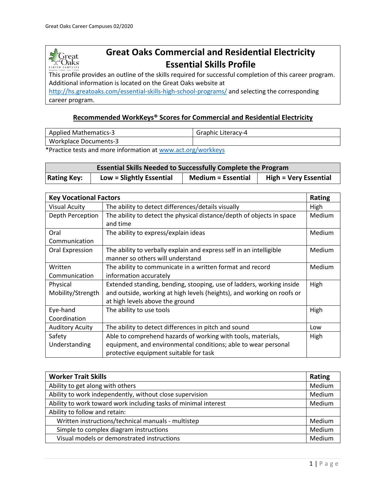

# **Great Oaks Commercial and Residential Electricity Essential Skills Profile**

This profile provides an outline of the skills required for successful completion of this career program. Additional information is located on the Great Oaks website at

<http://hs.greatoaks.com/essential-skills-high-school-programs/> and selecting the corresponding career program.

#### **Recommended WorkKeys® Scores for Commercial and Residential Electricity**

| <b>Applied Mathematics-3</b> | Graphic Literacy-4 |
|------------------------------|--------------------|
| <b>Workplace Documents-3</b> |                    |

\*Practice tests and more information at [www.act.org/workkeys](http://www.act.org/workkeys)

| <b>Essential Skills Needed to Successfully Complete the Program</b> |                          |                           |                              |
|---------------------------------------------------------------------|--------------------------|---------------------------|------------------------------|
| <b>Rating Key:</b>                                                  | Low = Slightly Essential | <b>Medium = Essential</b> | <b>High = Very Essential</b> |

| <b>Key Vocational Factors</b> |                                                                        | Rating        |
|-------------------------------|------------------------------------------------------------------------|---------------|
| <b>Visual Acuity</b>          | The ability to detect differences/details visually                     | High          |
| Depth Perception              | The ability to detect the physical distance/depth of objects in space  | Medium        |
|                               | and time                                                               |               |
| Oral                          | The ability to express/explain ideas                                   | Medium        |
| Communication                 |                                                                        |               |
| Oral Expression               | The ability to verbally explain and express self in an intelligible    | Medium        |
|                               | manner so others will understand                                       |               |
| Written                       | The ability to communicate in a written format and record              | <b>Medium</b> |
| Communication                 | information accurately                                                 |               |
| Physical                      | Extended standing, bending, stooping, use of ladders, working inside   | High          |
| Mobility/Strength             | and outside, working at high levels (heights), and working on roofs or |               |
|                               | at high levels above the ground                                        |               |
| Eye-hand                      | The ability to use tools                                               | High          |
| Coordination                  |                                                                        |               |
| <b>Auditory Acuity</b>        | The ability to detect differences in pitch and sound                   | Low           |
| Safety                        | Able to comprehend hazards of working with tools, materials,           | High          |
| Understanding                 | equipment, and environmental conditions; able to wear personal         |               |
|                               | protective equipment suitable for task                                 |               |

| <b>Worker Trait Skills</b>                                      | Rating |
|-----------------------------------------------------------------|--------|
| Ability to get along with others                                | Medium |
| Ability to work independently, without close supervision        | Medium |
| Ability to work toward work including tasks of minimal interest | Medium |
| Ability to follow and retain:                                   |        |
| Written instructions/technical manuals - multistep              | Medium |
| Simple to complex diagram instructions                          | Medium |
| Visual models or demonstrated instructions                      | Medium |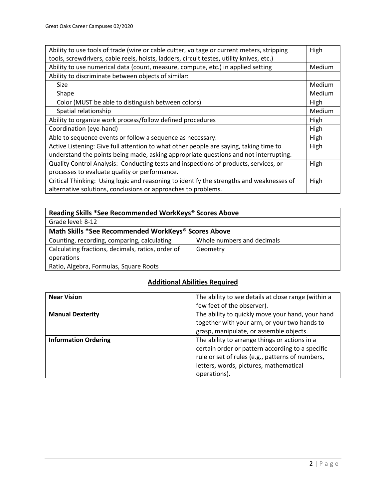| Ability to use tools of trade (wire or cable cutter, voltage or current meters, stripping |        |
|-------------------------------------------------------------------------------------------|--------|
| tools, screwdrivers, cable reels, hoists, ladders, circuit testes, utility knives, etc.)  |        |
| Ability to use numerical data (count, measure, compute, etc.) in applied setting          | Medium |
| Ability to discriminate between objects of similar:                                       |        |
| Size                                                                                      | Medium |
| Shape                                                                                     | Medium |
| Color (MUST be able to distinguish between colors)                                        | High   |
| Spatial relationship                                                                      | Medium |
| Ability to organize work process/follow defined procedures                                | High   |
| Coordination (eye-hand)                                                                   | High   |
| Able to sequence events or follow a sequence as necessary.                                | High   |
| Active Listening: Give full attention to what other people are saying, taking time to     | High   |
| understand the points being made, asking appropriate questions and not interrupting.      |        |
| Quality Control Analysis: Conducting tests and inspections of products, services, or      | High   |
| processes to evaluate quality or performance.                                             |        |
| Critical Thinking: Using logic and reasoning to identify the strengths and weaknesses of  | High   |
| alternative solutions, conclusions or approaches to problems.                             |        |

| Reading Skills *See Recommended WorkKeys® Scores Above |                            |  |
|--------------------------------------------------------|----------------------------|--|
| Grade level: 8-12                                      |                            |  |
| Math Skills *See Recommended WorkKeys® Scores Above    |                            |  |
| Counting, recording, comparing, calculating            | Whole numbers and decimals |  |
| Calculating fractions, decimals, ratios, order of      | Geometry                   |  |
| operations                                             |                            |  |
| Ratio, Algebra, Formulas, Square Roots                 |                            |  |

# **Additional Abilities Required**

| <b>Near Vision</b>          | The ability to see details at close range (within a |
|-----------------------------|-----------------------------------------------------|
|                             | few feet of the observer).                          |
| <b>Manual Dexterity</b>     | The ability to quickly move your hand, your hand    |
|                             | together with your arm, or your two hands to        |
|                             | grasp, manipulate, or assemble objects.             |
| <b>Information Ordering</b> | The ability to arrange things or actions in a       |
|                             | certain order or pattern according to a specific    |
|                             | rule or set of rules (e.g., patterns of numbers,    |
|                             | letters, words, pictures, mathematical              |
|                             | operations).                                        |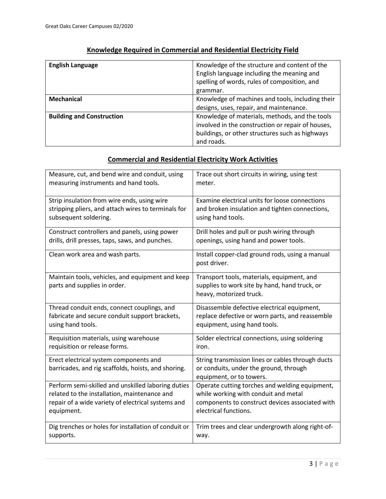| <b>English Language</b>          | Knowledge of the structure and content of the<br>English language including the meaning and<br>spelling of words, rules of composition, and<br>grammar. |
|----------------------------------|---------------------------------------------------------------------------------------------------------------------------------------------------------|
| <b>Mechanical</b>                | Knowledge of machines and tools, including their                                                                                                        |
|                                  | designs, uses, repair, and maintenance.                                                                                                                 |
| <b>Building and Construction</b> | Knowledge of materials, methods, and the tools                                                                                                          |
|                                  | involved in the construction or repair of houses,                                                                                                       |
|                                  | buildings, or other structures such as highways                                                                                                         |
|                                  | and roads.                                                                                                                                              |

### **Knowledge Required in Commercial and Residential Electricity Field**

#### **Commercial and Residential Electricity Work Activities**

| Measure, cut, and bend wire and conduit, using                                                | Trace out short circuits in wiring, using test                                                                          |
|-----------------------------------------------------------------------------------------------|-------------------------------------------------------------------------------------------------------------------------|
| measuring instruments and hand tools.                                                         | meter.                                                                                                                  |
| Strip insulation from wire ends, using wire                                                   | Examine electrical units for loose connections                                                                          |
| stripping pliers, and attach wires to terminals for                                           | and broken insulation and tighten connections,                                                                          |
| subsequent soldering.                                                                         | using hand tools.                                                                                                       |
| Construct controllers and panels, using power                                                 | Drill holes and pull or push wiring through                                                                             |
| drills, drill presses, taps, saws, and punches.                                               | openings, using hand and power tools.                                                                                   |
| Clean work area and wash parts.                                                               | Install copper-clad ground rods, using a manual<br>post driver.                                                         |
| Maintain tools, vehicles, and equipment and keep<br>parts and supplies in order.              | Transport tools, materials, equipment, and<br>supplies to work site by hand, hand truck, or<br>heavy, motorized truck.  |
| Thread conduit ends, connect couplings, and                                                   | Disassemble defective electrical equipment,                                                                             |
| fabricate and secure conduit support brackets,                                                | replace defective or worn parts, and reassemble                                                                         |
| using hand tools.                                                                             | equipment, using hand tools.                                                                                            |
| Requisition materials, using warehouse                                                        | Solder electrical connections, using soldering                                                                          |
| requisition or release forms.                                                                 | iron.                                                                                                                   |
| Erect electrical system components and<br>barricades, and rig scaffolds, hoists, and shoring. | String transmission lines or cables through ducts<br>or conduits, under the ground, through<br>equipment, or to towers. |
| Perform semi-skilled and unskilled laboring duties                                            | Operate cutting torches and welding equipment,                                                                          |
| related to the installation, maintenance and                                                  | while working with conduit and metal                                                                                    |
| repair of a wide variety of electrical systems and                                            | components to construct devices associated with                                                                         |
| equipment.                                                                                    | electrical functions.                                                                                                   |
| Dig trenches or holes for installation of conduit or                                          | Trim trees and clear undergrowth along right-of-                                                                        |
| supports.                                                                                     | way.                                                                                                                    |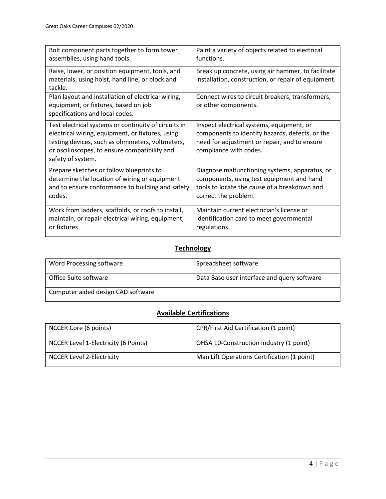| Bolt component parts together to form tower                                                                                                                                                                                       | Paint a variety of objects related to electrical                                                                                                                       |
|-----------------------------------------------------------------------------------------------------------------------------------------------------------------------------------------------------------------------------------|------------------------------------------------------------------------------------------------------------------------------------------------------------------------|
| assemblies, using hand tools.                                                                                                                                                                                                     | functions.                                                                                                                                                             |
| Raise, lower, or position equipment, tools, and<br>materials, using hoist, hand line, or block and<br>tackle.                                                                                                                     | Break up concrete, using air hammer, to facilitate<br>installation, construction, or repair of equipment.                                                              |
| Plan layout and installation of electrical wiring,<br>equipment, or fixtures, based on job<br>specifications and local codes.                                                                                                     | Connect wires to circuit breakers, transformers,<br>or other components.                                                                                               |
| Test electrical systems or continuity of circuits in<br>electrical wiring, equipment, or fixtures, using<br>testing devices, such as ohmmeters, voltmeters,<br>or oscilloscopes, to ensure compatibility and<br>safety of system. | Inspect electrical systems, equipment, or<br>components to identify hazards, defects, or the<br>need for adjustment or repair, and to ensure<br>compliance with codes. |
| Prepare sketches or follow blueprints to                                                                                                                                                                                          | Diagnose malfunctioning systems, apparatus, or                                                                                                                         |
| determine the location of wiring or equipment                                                                                                                                                                                     | components, using test equipment and hand                                                                                                                              |
| and to ensure conformance to building and safety                                                                                                                                                                                  | tools to locate the cause of a breakdown and                                                                                                                           |
| codes.                                                                                                                                                                                                                            | correct the problem.                                                                                                                                                   |
| Work from ladders, scaffolds, or roofs to install,                                                                                                                                                                                | Maintain current electrician's license or                                                                                                                              |
| maintain, or repair electrical wiring, equipment,                                                                                                                                                                                 | identification card to meet governmental                                                                                                                               |
| or fixtures.                                                                                                                                                                                                                      | regulations.                                                                                                                                                           |

### **Technology**

| Word Processing software           | Spreadsheet software                        |
|------------------------------------|---------------------------------------------|
| Office Suite software              | Data Base user interface and query software |
| Computer aided design CAD software |                                             |

# **Available Certifications**

| NCCER Core (6 points)                | CPR/First Aid Certification (1 point)       |
|--------------------------------------|---------------------------------------------|
| NCCER Level 1-Electricity (6 Points) | OHSA 10-Construction Industry (1 point)     |
| NCCER Level 2-Electricity            | Man Lift Operations Certification (1 point) |